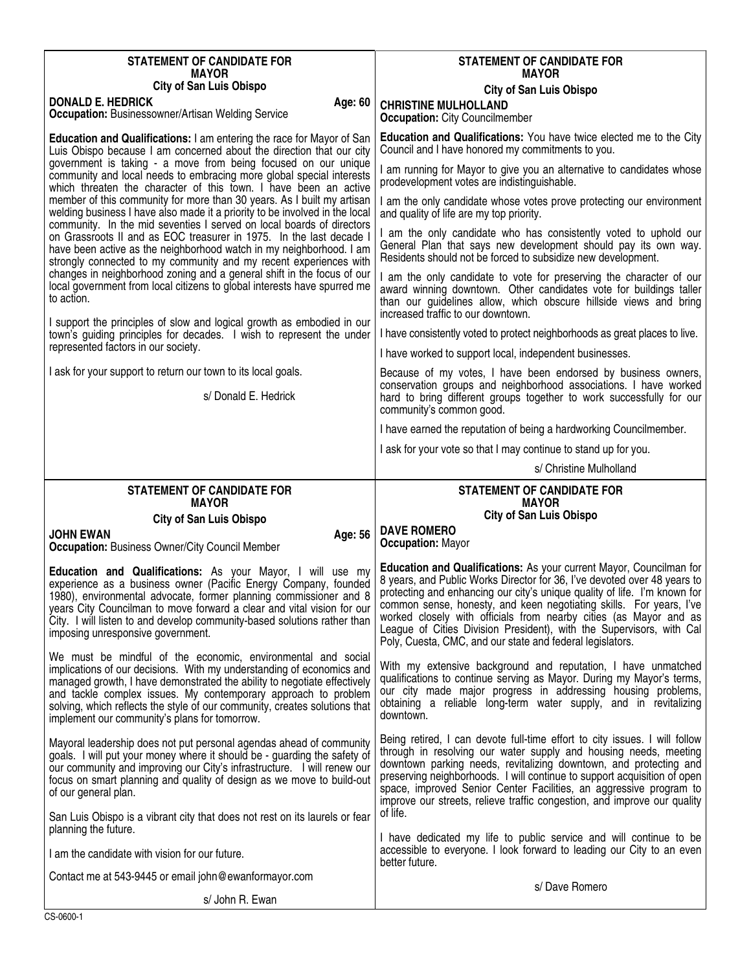| <b>STATEMENT OF CANDIDATE FOR</b>                                                                                                                                                                                                                                                                                                                                                                                  | <b>STATEMENT OF CANDIDATE FOR</b>                                                                                                                                                                                                                                                                                                                                                                                                                                                                                    |
|--------------------------------------------------------------------------------------------------------------------------------------------------------------------------------------------------------------------------------------------------------------------------------------------------------------------------------------------------------------------------------------------------------------------|----------------------------------------------------------------------------------------------------------------------------------------------------------------------------------------------------------------------------------------------------------------------------------------------------------------------------------------------------------------------------------------------------------------------------------------------------------------------------------------------------------------------|
| <b>MAYOR</b><br><b>City of San Luis Obispo</b>                                                                                                                                                                                                                                                                                                                                                                     | <b>MAYOR</b><br><b>City of San Luis Obispo</b>                                                                                                                                                                                                                                                                                                                                                                                                                                                                       |
| <b>DONALD E. HEDRICK</b><br>Age: 60<br>Occupation: Businessowner/Artisan Welding Service                                                                                                                                                                                                                                                                                                                           | <b>CHRISTINE MULHOLLAND</b><br><b>Occupation: City Councilmember</b>                                                                                                                                                                                                                                                                                                                                                                                                                                                 |
| <b>Education and Qualifications: I am entering the race for Mayor of San</b><br>Luis Obispo because I am concerned about the direction that our city                                                                                                                                                                                                                                                               | <b>Education and Qualifications:</b> You have twice elected me to the City<br>Council and I have honored my commitments to you.                                                                                                                                                                                                                                                                                                                                                                                      |
| government is taking - a move from being focused on our unique<br>community and local needs to embracing more global special interests<br>which threaten the character of this town. I have been an active                                                                                                                                                                                                         | am running for Mayor to give you an alternative to candidates whose<br>prodevelopment votes are indistinguishable.                                                                                                                                                                                                                                                                                                                                                                                                   |
| member of this community for more than 30 years. As I built my artisan<br>welding business I have also made it a priority to be involved in the local                                                                                                                                                                                                                                                              | I am the only candidate whose votes prove protecting our environment<br>and quality of life are my top priority.                                                                                                                                                                                                                                                                                                                                                                                                     |
| community. In the mid seventies I served on local boards of directors<br>on Grassroots II and as EOC treasurer in 1975. In the last decade I<br>have been active as the neighborhood watch in my neighborhood. I am<br>strongly connected to my community and my recent experiences with                                                                                                                           | am the only candidate who has consistently voted to uphold our<br>General Plan that says new development should pay its own way.<br>Residents should not be forced to subsidize new development.                                                                                                                                                                                                                                                                                                                     |
| changes in neighborhood zoning and a general shift in the focus of our<br>local government from local citizens to global interests have spurred me<br>to action.                                                                                                                                                                                                                                                   | I am the only candidate to vote for preserving the character of our<br>award winning downtown. Other candidates vote for buildings taller<br>than our guidelines allow, which obscure hillside views and bring<br>increased traffic to our downtown.                                                                                                                                                                                                                                                                 |
| I support the principles of slow and logical growth as embodied in our<br>town's guiding principles for decades. I wish to represent the under                                                                                                                                                                                                                                                                     | I have consistently voted to protect neighborhoods as great places to live.                                                                                                                                                                                                                                                                                                                                                                                                                                          |
| represented factors in our society.                                                                                                                                                                                                                                                                                                                                                                                | I have worked to support local, independent businesses.                                                                                                                                                                                                                                                                                                                                                                                                                                                              |
| I ask for your support to return our town to its local goals.<br>s/ Donald E. Hedrick                                                                                                                                                                                                                                                                                                                              | Because of my votes, I have been endorsed by business owners,<br>conservation groups and neighborhood associations. I have worked<br>hard to bring different groups together to work successfully for our<br>community's common good.                                                                                                                                                                                                                                                                                |
|                                                                                                                                                                                                                                                                                                                                                                                                                    | I have earned the reputation of being a hardworking Councilmember.                                                                                                                                                                                                                                                                                                                                                                                                                                                   |
|                                                                                                                                                                                                                                                                                                                                                                                                                    | I ask for your vote so that I may continue to stand up for you.                                                                                                                                                                                                                                                                                                                                                                                                                                                      |
|                                                                                                                                                                                                                                                                                                                                                                                                                    | s/ Christine Mulholland                                                                                                                                                                                                                                                                                                                                                                                                                                                                                              |
|                                                                                                                                                                                                                                                                                                                                                                                                                    |                                                                                                                                                                                                                                                                                                                                                                                                                                                                                                                      |
| <b>STATEMENT OF CANDIDATE FOR</b><br><b>MAYOR</b>                                                                                                                                                                                                                                                                                                                                                                  | <b>STATEMENT OF CANDIDATE FOR</b><br><b>MAYOR</b>                                                                                                                                                                                                                                                                                                                                                                                                                                                                    |
| <b>City of San Luis Obispo</b>                                                                                                                                                                                                                                                                                                                                                                                     | <b>City of San Luis Obispo</b>                                                                                                                                                                                                                                                                                                                                                                                                                                                                                       |
| <b>JOHN EWAN</b><br>Age: 56<br><b>Occupation: Business Owner/City Council Member</b>                                                                                                                                                                                                                                                                                                                               | <b>DAVE ROMERO</b><br><b>Occupation: Mayor</b>                                                                                                                                                                                                                                                                                                                                                                                                                                                                       |
| Education and Qualifications: As your Mayor, I will use my<br>experience as a business owner (Pacific Energy Company, founded<br>1980), environmental advocate, former planning commissioner and 8<br>years City Councilman to move forward a clear and vital vision for our<br>City. I will listen to and develop community-based solutions rather than<br>imposing unresponsive government.                      | <b>Education and Qualifications: As your current Mayor, Councilman for</b><br>8 years, and Public Works Director for 36, I've devoted over 48 years to<br>protecting and enhancing our city's unique quality of life. I'm known for<br>common sense, honesty, and keen negotiating skills. For years, I've<br>worked closely with officials from nearby cities (as Mayor and as<br>League of Cities Division President), with the Supervisors, with Cal<br>Poly, Cuesta, CMC, and our state and federal legislators. |
| We must be mindful of the economic, environmental and social<br>implications of our decisions. With my understanding of economics and<br>managed growth, I have demonstrated the ability to negotiate effectively<br>and tackle complex issues. My contemporary approach to problem<br>solving, which reflects the style of our community, creates solutions that<br>implement our community's plans for tomorrow. | With my extensive background and reputation, I have unmatched<br>qualifications to continue serving as Mayor. During my Mayor's terms,<br>our city made major progress in addressing housing problems,<br>obtaining a reliable long-term water supply, and in revitalizing<br>downtown.                                                                                                                                                                                                                              |
| Mayoral leadership does not put personal agendas ahead of community<br>goals. I will put your money where it should be - guarding the safety of<br>our community and improving our City's infrastructure. I will renew our<br>focus on smart planning and quality of design as we move to build-out<br>of our general plan.                                                                                        | Being retired, I can devote full-time effort to city issues. I will follow<br>through in resolving our water supply and housing needs, meeting<br>downtown parking needs, revitalizing downtown, and protecting and<br>preserving neighborhoods. I will continue to support acquisition of open<br>space, improved Senior Center Facilities, an aggressive program to<br>improve our streets, relieve traffic congestion, and improve our quality<br>of life.                                                        |
| San Luis Obispo is a vibrant city that does not rest on its laurels or fear<br>planning the future.                                                                                                                                                                                                                                                                                                                | I have dedicated my life to public service and will continue to be<br>accessible to everyone. I look forward to leading our City to an even                                                                                                                                                                                                                                                                                                                                                                          |
| I am the candidate with vision for our future.                                                                                                                                                                                                                                                                                                                                                                     | better future.                                                                                                                                                                                                                                                                                                                                                                                                                                                                                                       |
| Contact me at 543-9445 or email john@ewanformayor.com<br>s/ John R. Ewan                                                                                                                                                                                                                                                                                                                                           | s/Dave Romero                                                                                                                                                                                                                                                                                                                                                                                                                                                                                                        |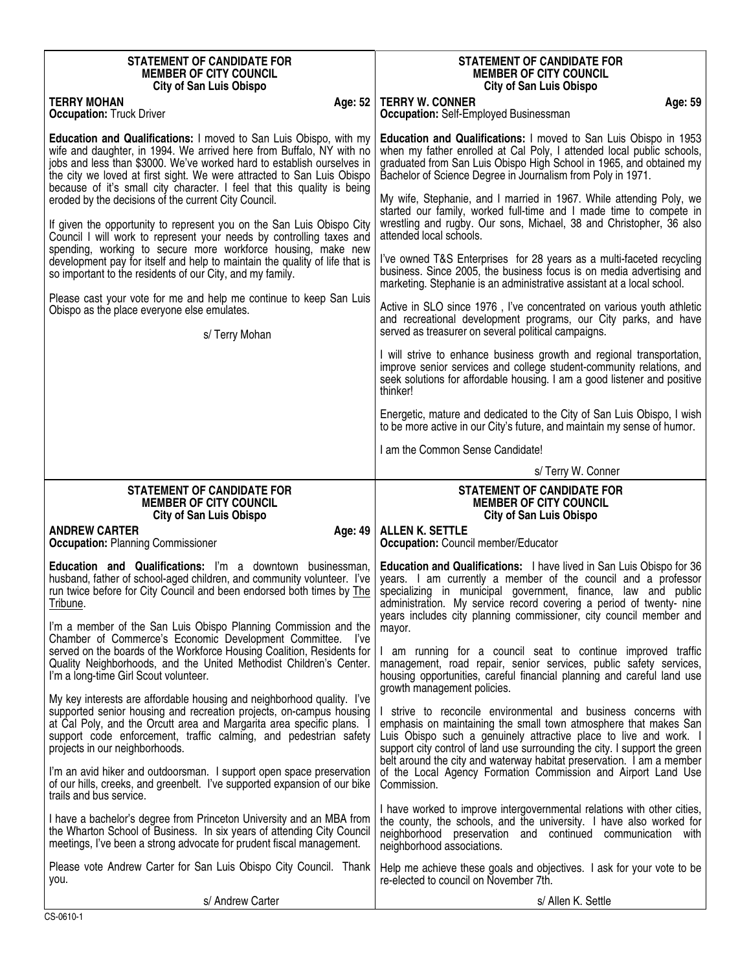| <b>STATEMENT OF CANDIDATE FOR</b>                                                                                                                                                                                                                                                                                                                                               | <b>STATEMENT OF CANDIDATE FOR</b>                                                                                                                                                                                                                                                      |
|---------------------------------------------------------------------------------------------------------------------------------------------------------------------------------------------------------------------------------------------------------------------------------------------------------------------------------------------------------------------------------|----------------------------------------------------------------------------------------------------------------------------------------------------------------------------------------------------------------------------------------------------------------------------------------|
| <b>MEMBER OF CITY COUNCIL</b>                                                                                                                                                                                                                                                                                                                                                   | <b>MEMBER OF CITY COUNCIL</b>                                                                                                                                                                                                                                                          |
| <b>City of San Luis Obispo</b>                                                                                                                                                                                                                                                                                                                                                  | <b>City of San Luis Obispo</b>                                                                                                                                                                                                                                                         |
| <b>TERRY MOHAN</b>                                                                                                                                                                                                                                                                                                                                                              | <b>TERRY W. CONNER</b>                                                                                                                                                                                                                                                                 |
| Age: 52                                                                                                                                                                                                                                                                                                                                                                         | Age: 59                                                                                                                                                                                                                                                                                |
| <b>Occupation: Truck Driver</b>                                                                                                                                                                                                                                                                                                                                                 | <b>Occupation:</b> Self-Employed Businessman                                                                                                                                                                                                                                           |
| <b>Education and Qualifications: I moved to San Luis Obispo, with my</b><br>wife and daughter, in 1994. We arrived here from Buffalo, NY with no<br>jobs and less than \$3000. We've worked hard to establish ourselves in<br>the city we loved at first sight. We were attracted to San Luis Obispo<br>because of it's small city character. I feel that this quality is being | <b>Education and Qualifications:</b> I moved to San Luis Obispo in 1953<br>when my father enrolled at Cal Poly, I attended local public schools,<br>graduated from San Luis Obispo High School in 1965, and obtained my<br>Bachelor of Science Degree in Journalism from Poly in 1971. |
| eroded by the decisions of the current City Council.<br>If given the opportunity to represent you on the San Luis Obispo City<br>Council I will work to represent your needs by controlling taxes and                                                                                                                                                                           | My wife, Stephanie, and I married in 1967. While attending Poly, we<br>started our family, worked full-time and I made time to compete in<br>wrestling and rugby. Our sons, Michael, 38 and Christopher, 36 also<br>attended local schools.                                            |
| spending, working to secure more workforce housing, make new                                                                                                                                                                                                                                                                                                                    | I've owned T&S Enterprises for 28 years as a multi-faceted recycling                                                                                                                                                                                                                   |
| development pay for itself and help to maintain the quality of life that is                                                                                                                                                                                                                                                                                                     | business. Since 2005, the business focus is on media advertising and                                                                                                                                                                                                                   |
| so important to the residents of our City, and my family.                                                                                                                                                                                                                                                                                                                       | marketing. Stephanie is an administrative assistant at a local school.                                                                                                                                                                                                                 |
| Please cast your vote for me and help me continue to keep San Luis                                                                                                                                                                                                                                                                                                              | Active in SLO since 1976, I've concentrated on various youth athletic                                                                                                                                                                                                                  |
| Obispo as the place everyone else emulates.                                                                                                                                                                                                                                                                                                                                     | and recreational development programs, our City parks, and have                                                                                                                                                                                                                        |
| s/ Terry Mohan                                                                                                                                                                                                                                                                                                                                                                  | served as treasurer on several political campaigns.                                                                                                                                                                                                                                    |
|                                                                                                                                                                                                                                                                                                                                                                                 | I will strive to enhance business growth and regional transportation,<br>improve senior services and college student-community relations, and<br>seek solutions for affordable housing. I am a good listener and positive<br>thinker!                                                  |
|                                                                                                                                                                                                                                                                                                                                                                                 | Energetic, mature and dedicated to the City of San Luis Obispo, I wish<br>to be more active in our City's future, and maintain my sense of humor.                                                                                                                                      |
|                                                                                                                                                                                                                                                                                                                                                                                 | I am the Common Sense Candidate!                                                                                                                                                                                                                                                       |
|                                                                                                                                                                                                                                                                                                                                                                                 | s/Terry W. Conner                                                                                                                                                                                                                                                                      |
|                                                                                                                                                                                                                                                                                                                                                                                 |                                                                                                                                                                                                                                                                                        |
| <b>STATEMENT OF CANDIDATE FOR</b>                                                                                                                                                                                                                                                                                                                                               | <b>STATEMENT OF CANDIDATE FOR</b>                                                                                                                                                                                                                                                      |
| <b>MEMBER OF CITY COUNCIL</b>                                                                                                                                                                                                                                                                                                                                                   | <b>MEMBER OF CITY COUNCIL</b>                                                                                                                                                                                                                                                          |
| <b>City of San Luis Obispo</b><br><b>ANDREW CARTER</b><br>Age: 49<br><b>Occupation: Planning Commissioner</b>                                                                                                                                                                                                                                                                   | <b>City of San Luis Obispo</b><br><b>ALLEN K. SETTLE</b><br><b>Occupation:</b> Council member/Educator                                                                                                                                                                                 |
| <b>Education and Qualifications:</b> I'm a downtown businessman,                                                                                                                                                                                                                                                                                                                | <b>Education and Qualifications:</b> I have lived in San Luis Obispo for 36                                                                                                                                                                                                            |
| husband, father of school-aged children, and community volunteer. I've                                                                                                                                                                                                                                                                                                          | years. I am currently a member of the council and a professor                                                                                                                                                                                                                          |
| run twice before for City Council and been endorsed both times by The                                                                                                                                                                                                                                                                                                           | specializing in municipal government, finance, law and public                                                                                                                                                                                                                          |
| Tribune.                                                                                                                                                                                                                                                                                                                                                                        | administration. My service record covering a period of twenty- nine                                                                                                                                                                                                                    |
| I'm a member of the San Luis Obispo Planning Commission and the                                                                                                                                                                                                                                                                                                                 | years includes city planning commissioner, city council member and                                                                                                                                                                                                                     |
| Chamber of Commerce's Economic Development Committee. I've                                                                                                                                                                                                                                                                                                                      | mayor.                                                                                                                                                                                                                                                                                 |
| served on the boards of the Workforce Housing Coalition, Residents for                                                                                                                                                                                                                                                                                                          | I am running for a council seat to continue improved traffic                                                                                                                                                                                                                           |
| Quality Neighborhoods, and the United Methodist Children's Center.                                                                                                                                                                                                                                                                                                              | management, road repair, senior services, public safety services,                                                                                                                                                                                                                      |
| I'm a long-time Girl Scout volunteer.                                                                                                                                                                                                                                                                                                                                           | housing opportunities, careful financial planning and careful land use                                                                                                                                                                                                                 |
| My key interests are affordable housing and neighborhood quality. I've                                                                                                                                                                                                                                                                                                          | growth management policies.                                                                                                                                                                                                                                                            |
| supported senior housing and recreation projects, on-campus housing                                                                                                                                                                                                                                                                                                             | I strive to reconcile environmental and business concerns with                                                                                                                                                                                                                         |
| at Cal Poly, and the Orcutt area and Margarita area specific plans.                                                                                                                                                                                                                                                                                                             | emphasis on maintaining the small town atmosphere that makes San                                                                                                                                                                                                                       |
| support code enforcement, traffic calming, and pedestrian safety                                                                                                                                                                                                                                                                                                                | Luis Obispo such a genuinely attractive place to live and work. I                                                                                                                                                                                                                      |
| projects in our neighborhoods.                                                                                                                                                                                                                                                                                                                                                  | support city control of land use surrounding the city. I support the green                                                                                                                                                                                                             |
| I'm an avid hiker and outdoorsman. I support open space preservation                                                                                                                                                                                                                                                                                                            | belt around the city and waterway habitat preservation. I am a member                                                                                                                                                                                                                  |
| of our hills, creeks, and greenbelt. I've supported expansion of our bike                                                                                                                                                                                                                                                                                                       | of the Local Agency Formation Commission and Airport Land Use                                                                                                                                                                                                                          |
| trails and bus service.                                                                                                                                                                                                                                                                                                                                                         | Commission.                                                                                                                                                                                                                                                                            |
| I have a bachelor's degree from Princeton University and an MBA from<br>the Wharton School of Business. In six years of attending City Council<br>meetings, I've been a strong advocate for prudent fiscal management.                                                                                                                                                          | I have worked to improve intergovernmental relations with other cities,<br>the county, the schools, and the university. I have also worked for<br>neighborhood preservation and continued communication with<br>neighborhood associations.                                             |
| Please vote Andrew Carter for San Luis Obispo City Council. Thank                                                                                                                                                                                                                                                                                                               | Help me achieve these goals and objectives. I ask for your vote to be                                                                                                                                                                                                                  |
| you.                                                                                                                                                                                                                                                                                                                                                                            | re-elected to council on November 7th.                                                                                                                                                                                                                                                 |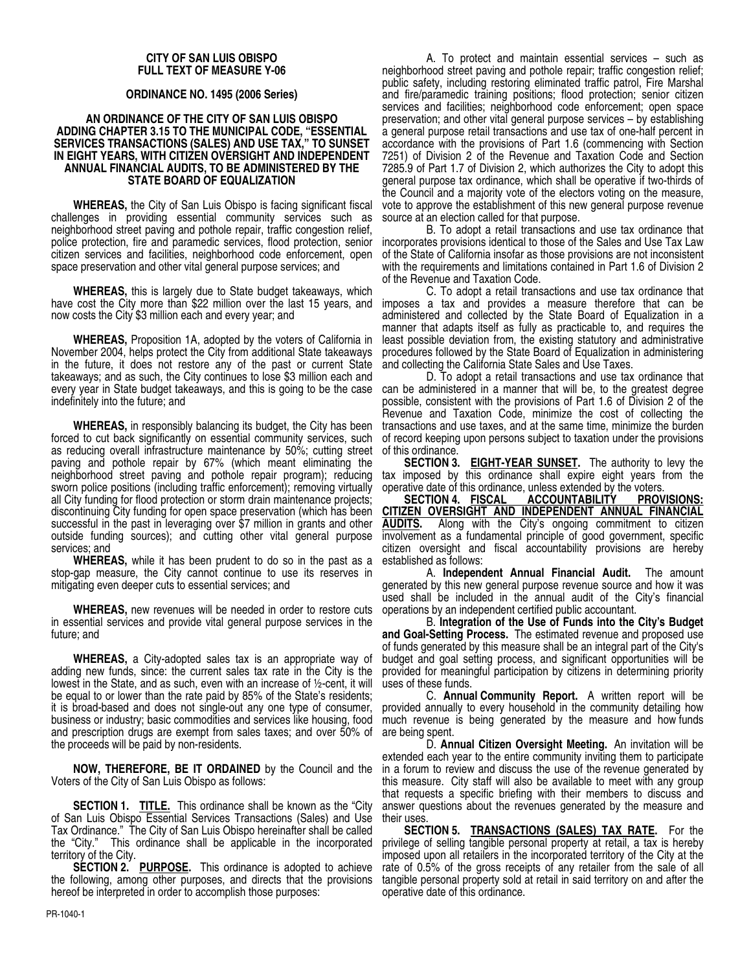#### **CITY OF SAN LUIS OBISPO FULL TEXT OF MEASURE Y-06**

### **ORDINANCE NO. 1495 (2006 Series)**

#### **AN ORDINANCE OF THE CITY OF SAN LUIS OBISPO ADDING CHAPTER 3.15 TO THE MUNICIPAL CODE, "ESSENTIAL SERVICES TRANSACTIONS (SALES) AND USE TAX," TO SUNSET IN EIGHT YEARS, WITH CITIZEN OVERSIGHT AND INDEPENDENT ANNUAL FINANCIAL AUDITS, TO BE ADMINISTERED BY THE STATE BOARD OF EQUALIZATION**

**WHEREAS,** the City of San Luis Obispo is facing significant fiscal challenges in providing essential community services such as neighborhood street paving and pothole repair, traffic congestion relief, police protection, fire and paramedic services, flood protection, senior citizen services and facilities, neighborhood code enforcement, open space preservation and other vital general purpose services; and

**WHEREAS,** this is largely due to State budget takeaways, which have cost the City more than \$22 million over the last 15 years, and now costs the City \$3 million each and every year; and

**WHEREAS,** Proposition 1A, adopted by the voters of California in November 2004, helps protect the City from additional State takeaways in the future, it does not restore any of the past or current State takeaways; and as such, the City continues to lose \$3 million each and every year in State budget takeaways, and this is going to be the case indefinitely into the future; and

**WHEREAS,** in responsibly balancing its budget, the City has been forced to cut back significantly on essential community services, such as reducing overall infrastructure maintenance by 50%; cutting street paving and pothole repair by 67% (which meant eliminating the neighborhood street paving and pothole repair program); reducing sworn police positions (including traffic enforcement); removing virtually all City funding for flood protection or storm drain maintenance projects; discontinuing City funding for open space preservation (which has been successful in the past in leveraging over \$7 million in grants and other outside funding sources); and cutting other vital general purpose services; and

**WHEREAS,** while it has been prudent to do so in the past as a stop-gap measure, the City cannot continue to use its reserves in mitigating even deeper cuts to essential services; and

**WHEREAS,** new revenues will be needed in order to restore cuts in essential services and provide vital general purpose services in the future; and

**WHEREAS,** a City-adopted sales tax is an appropriate way of adding new funds, since: the current sales tax rate in the City is the lowest in the State, and as such, even with an increase of ½-cent, it will be equal to or lower than the rate paid by 85% of the State's residents; it is broad-based and does not single-out any one type of consumer, business or industry; basic commodities and services like housing, food and prescription drugs are exempt from sales taxes; and over 50% of the proceeds will be paid by non-residents.

**NOW, THEREFORE, BE IT ORDAINED** by the Council and the Voters of the City of San Luis Obispo as follows:

**SECTION 1. TITLE.** This ordinance shall be known as the "City of San Luis Obispo Essential Services Transactions (Sales) and Use Tax Ordinance." The City of San Luis Obispo hereinafter shall be called the "City." This ordinance shall be applicable in the incorporated territory of the City.

**SECTION 2. PURPOSE.** This ordinance is adopted to achieve the following, among other purposes, and directs that the provisions hereof be interpreted in order to accomplish those purposes:

A. To protect and maintain essential services – such as neighborhood street paving and pothole repair; traffic congestion relief; public safety, including restoring eliminated traffic patrol, Fire Marshal and fire/paramedic training positions; flood protection; senior citizen services and facilities; neighborhood code enforcement; open space preservation; and other vital general purpose services – by establishing a general purpose retail transactions and use tax of one-half percent in accordance with the provisions of Part 1.6 (commencing with Section 7251) of Division 2 of the Revenue and Taxation Code and Section 7285.9 of Part 1.7 of Division 2, which authorizes the City to adopt this general purpose tax ordinance, which shall be operative if two-thirds of the Council and a majority vote of the electors voting on the measure, vote to approve the establishment of this new general purpose revenue source at an election called for that purpose.

B. To adopt a retail transactions and use tax ordinance that incorporates provisions identical to those of the Sales and Use Tax Law of the State of California insofar as those provisions are not inconsistent with the requirements and limitations contained in Part 1.6 of Division 2 of the Revenue and Taxation Code.

C. To adopt a retail transactions and use tax ordinance that imposes a tax and provides a measure therefore that can be administered and collected by the State Board of Equalization in a manner that adapts itself as fully as practicable to, and requires the least possible deviation from, the existing statutory and administrative procedures followed by the State Board of Equalization in administering and collecting the California State Sales and Use Taxes.

D. To adopt a retail transactions and use tax ordinance that can be administered in a manner that will be, to the greatest degree possible, consistent with the provisions of Part 1.6 of Division 2 of the Revenue and Taxation Code, minimize the cost of collecting the transactions and use taxes, and at the same time, minimize the burden of record keeping upon persons subject to taxation under the provisions of this ordinance.

**SECTION 3. EIGHT-YEAR SUNSET.** The authority to levy the tax imposed by this ordinance shall expire eight years from the

operative date of this ordinance, unless extended by the voters.<br>SECTION 4. FISCAL ACCOUNTABILITY PROV **SECTION 4. FISCAL ACCOUNTABILITY PROVISIONS: CITIZEN OVERSIGHT AND INDEPENDENT ANNUAL FINANCIAL**<br>**AUDITS.** Along with the City's ongoing commitment to citizen Along with the City's ongoing commitment to citizen involvement as a fundamental principle of good government, specific citizen oversight and fiscal accountability provisions are hereby established as follows:

A. **Independent Annual Financial Audit.** The amount generated by this new general purpose revenue source and how it was used shall be included in the annual audit of the City's financial operations by an independent certified public accountant.

B. **Integration of the Use of Funds into the City's Budget and Goal-Setting Process.** The estimated revenue and proposed use of funds generated by this measure shall be an integral part of the City's budget and goal setting process, and significant opportunities will be provided for meaningful participation by citizens in determining priority uses of these funds.

C. **Annual Community Report.** A written report will be provided annually to every household in the community detailing how much revenue is being generated by the measure and how funds are being spent.

D. **Annual Citizen Oversight Meeting.** An invitation will be extended each year to the entire community inviting them to participate in a forum to review and discuss the use of the revenue generated by this measure. City staff will also be available to meet with any group that requests a specific briefing with their members to discuss and answer questions about the revenues generated by the measure and their uses.

**SECTION 5. TRANSACTIONS (SALES) TAX RATE.** For the privilege of selling tangible personal property at retail, a tax is hereby imposed upon all retailers in the incorporated territory of the City at the rate of 0.5% of the gross receipts of any retailer from the sale of all tangible personal property sold at retail in said territory on and after the operative date of this ordinance.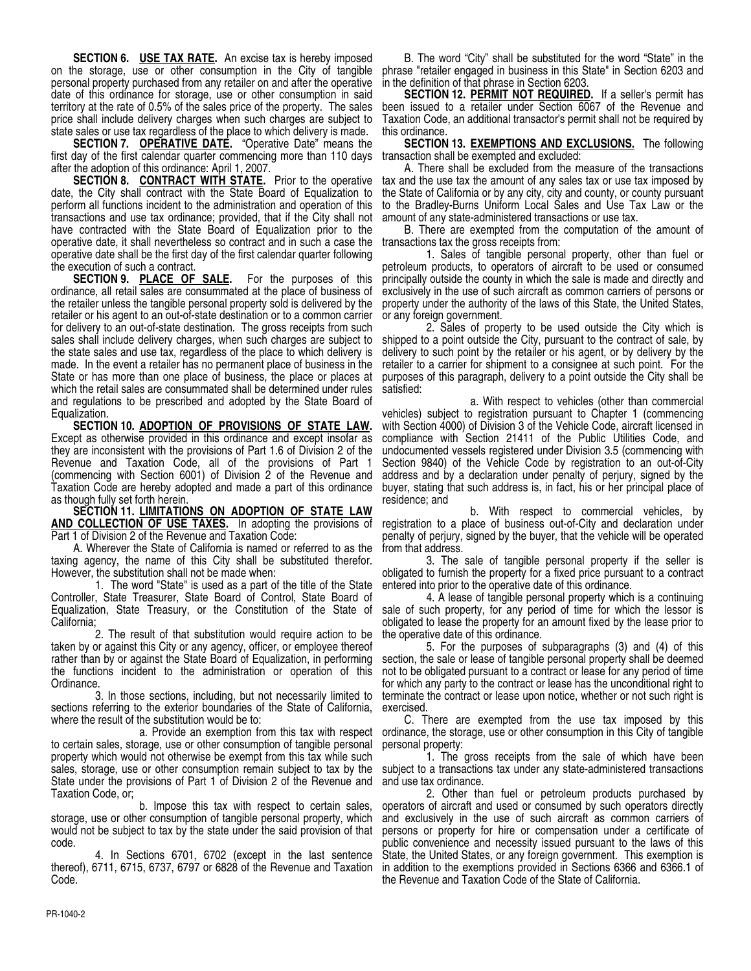**SECTION 6. USE TAX RATE.** An excise tax is hereby imposed on the storage, use or other consumption in the City of tangible personal property purchased from any retailer on and after the operative date of this ordinance for storage, use or other consumption in said territory at the rate of 0.5% of the sales price of the property. The sales price shall include delivery charges when such charges are subject to state sales or use tax regardless of the place to which delivery is made.

**SECTION 7. OPERATIVE DATE.** "Operative Date" means the first day of the first calendar quarter commencing more than 110 days after the adoption of this ordinance: April 1, 2007.

**SECTION 8. CONTRACT WITH STATE.** Prior to the operative date, the City shall contract with the State Board of Equalization to perform all functions incident to the administration and operation of this transactions and use tax ordinance; provided, that if the City shall not have contracted with the State Board of Equalization prior to the operative date, it shall nevertheless so contract and in such a case the operative date shall be the first day of the first calendar quarter following the execution of such a contract.

**SECTION 9. PLACE OF SALE.** For the purposes of this ordinance, all retail sales are consummated at the place of business of the retailer unless the tangible personal property sold is delivered by the retailer or his agent to an out-of-state destination or to a common carrier for delivery to an out-of-state destination. The gross receipts from such sales shall include delivery charges, when such charges are subject to the state sales and use tax, regardless of the place to which delivery is made. In the event a retailer has no permanent place of business in the State or has more than one place of business, the place or places at which the retail sales are consummated shall be determined under rules and regulations to be prescribed and adopted by the State Board of Equalization.

**SECTION 10. ADOPTION OF PROVISIONS OF STATE LAW.** Except as otherwise provided in this ordinance and except insofar as they are inconsistent with the provisions of Part 1.6 of Division 2 of the Revenue and Taxation Code, all of the provisions of Part 1 (commencing with Section 6001) of Division 2 of the Revenue and Taxation Code are hereby adopted and made a part of this ordinance as though fully set forth herein.

**SECTION 11. LIMITATIONS ON ADOPTION OF STATE LAW AND COLLECTION OF USE TAXES.** In adopting the provisions of Part 1 of Division 2 of the Revenue and Taxation Code:

A. Wherever the State of California is named or referred to as the taxing agency, the name of this City shall be substituted therefor. However, the substitution shall not be made when:

1. The word "State" is used as a part of the title of the State Controller, State Treasurer, State Board of Control, State Board of Equalization, State Treasury, or the Constitution of the State of California;

2. The result of that substitution would require action to be taken by or against this City or any agency, officer, or employee thereof rather than by or against the State Board of Equalization, in performing the functions incident to the administration or operation of this Ordinance.

3. In those sections, including, but not necessarily limited to sections referring to the exterior boundaries of the State of California, where the result of the substitution would be to:

to certain sales, storage, use or other consumption of tangible personal property which would not otherwise be exempt from this tax while such sales, storage, use or other consumption remain subject to tax by the State under the provisions of Part 1 of Division 2 of the Revenue and Taxation Code, or;

b. Impose this tax with respect to certain sales, storage, use or other consumption of tangible personal property, which would not be subject to tax by the state under the said provision of that code.

4. In Sections 6701, 6702 (except in the last sentence thereof), 6711, 6715, 6737, 6797 or 6828 of the Revenue and Taxation Code.

B. The word "City" shall be substituted for the word "State" in the phrase "retailer engaged in business in this State" in Section 6203 and in the definition of that phrase in Section 6203.

**SECTION 12. PERMIT NOT REQUIRED.** If a seller's permit has been issued to a retailer under Section 6067 of the Revenue and Taxation Code, an additional transactor's permit shall not be required by this ordinance.

**SECTION 13. EXEMPTIONS AND EXCLUSIONS.** The following transaction shall be exempted and excluded:

A. There shall be excluded from the measure of the transactions tax and the use tax the amount of any sales tax or use tax imposed by the State of California or by any city, city and county, or county pursuant to the Bradley-Burns Uniform Local Sales and Use Tax Law or the amount of any state-administered transactions or use tax.

B. There are exempted from the computation of the amount of transactions tax the gross receipts from:

1. Sales of tangible personal property, other than fuel or petroleum products, to operators of aircraft to be used or consumed principally outside the county in which the sale is made and directly and exclusively in the use of such aircraft as common carriers of persons or property under the authority of the laws of this State, the United States, or any foreign government.

2. Sales of property to be used outside the City which is shipped to a point outside the City, pursuant to the contract of sale, by delivery to such point by the retailer or his agent, or by delivery by the retailer to a carrier for shipment to a consignee at such point. For the purposes of this paragraph, delivery to a point outside the City shall be satisfied:

a. With respect to vehicles (other than commercial vehicles) subject to registration pursuant to Chapter 1 (commencing with Section 4000) of Division 3 of the Vehicle Code, aircraft licensed in compliance with Section 21411 of the Public Utilities Code, and undocumented vessels registered under Division 3.5 (commencing with Section 9840) of the Vehicle Code by registration to an out-of-City address and by a declaration under penalty of perjury, signed by the buyer, stating that such address is, in fact, his or her principal place of residence; and

b. With respect to commercial vehicles, by registration to a place of business out-of-City and declaration under penalty of perjury, signed by the buyer, that the vehicle will be operated from that address.

3. The sale of tangible personal property if the seller is obligated to furnish the property for a fixed price pursuant to a contract entered into prior to the operative date of this ordinance.

4. A lease of tangible personal property which is a continuing sale of such property, for any period of time for which the lessor is obligated to lease the property for an amount fixed by the lease prior to the operative date of this ordinance.

5. For the purposes of subparagraphs (3) and (4) of this section, the sale or lease of tangible personal property shall be deemed not to be obligated pursuant to a contract or lease for any period of time for which any party to the contract or lease has the unconditional right to terminate the contract or lease upon notice, whether or not such right is exercised.

a. Provide an exemption from this tax with respect ordinance, the storage, use or other consumption in this City of tangible C. There are exempted from the use tax imposed by this personal property:

1. The gross receipts from the sale of which have been subject to a transactions tax under any state-administered transactions and use tax ordinance.

2. Other than fuel or petroleum products purchased by operators of aircraft and used or consumed by such operators directly and exclusively in the use of such aircraft as common carriers of persons or property for hire or compensation under a certificate of public convenience and necessity issued pursuant to the laws of this State, the United States, or any foreign government. This exemption is in addition to the exemptions provided in Sections 6366 and 6366.1 of the Revenue and Taxation Code of the State of California.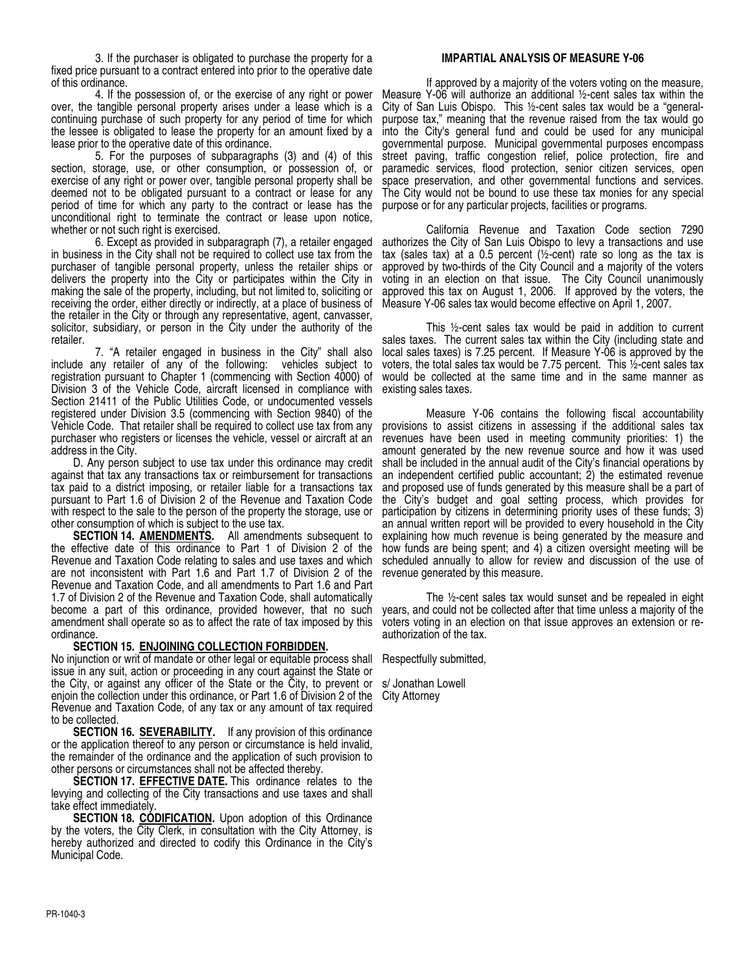3. If the purchaser is obligated to purchase the property for a fixed price pursuant to a contract entered into prior to the operative date of this ordinance.

over, the tangible personal property arises under a lease which is a continuing purchase of such property for any period of time for which the lessee is obligated to lease the property for an amount fixed by a lease prior to the operative date of this ordinance.

5. For the purposes of subparagraphs (3) and (4) of this section, storage, use, or other consumption, or possession of, or exercise of any right or power over, tangible personal property shall be deemed not to be obligated pursuant to a contract or lease for any period of time for which any party to the contract or lease has the unconditional right to terminate the contract or lease upon notice, whether or not such right is exercised.

6. Except as provided in subparagraph (7), a retailer engaged in business in the City shall not be required to collect use tax from the purchaser of tangible personal property, unless the retailer ships or delivers the property into the City or participates within the City in making the sale of the property, including, but not limited to, soliciting or receiving the order, either directly or indirectly, at a place of business of the retailer in the City or through any representative, agent, canvasser, solicitor, subsidiary, or person in the City under the authority of the retailer.

7. "A retailer engaged in business in the City" shall also include any retailer of any of the following: vehicles subject to registration pursuant to Chapter 1 (commencing with Section 4000) of Division 3 of the Vehicle Code, aircraft licensed in compliance with Section 21411 of the Public Utilities Code, or undocumented vessels registered under Division 3.5 (commencing with Section 9840) of the Vehicle Code. That retailer shall be required to collect use tax from any purchaser who registers or licenses the vehicle, vessel or aircraft at an address in the City.

D. Any person subject to use tax under this ordinance may credit against that tax any transactions tax or reimbursement for transactions tax paid to a district imposing, or retailer liable for a transactions tax pursuant to Part 1.6 of Division 2 of the Revenue and Taxation Code with respect to the sale to the person of the property the storage, use or other consumption of which is subject to the use tax.

**SECTION 14. AMENDMENTS.** All amendments subsequent to the effective date  $\overline{of}$  this ordinance to Part 1 of Division 2 of the Revenue and Taxation Code relating to sales and use taxes and which are not inconsistent with Part 1.6 and Part 1.7 of Division 2 of the Revenue and Taxation Code, and all amendments to Part 1.6 and Part 1.7 of Division 2 of the Revenue and Taxation Code, shall automatically become a part of this ordinance, provided however, that no such amendment shall operate so as to affect the rate of tax imposed by this ordinance.

## **SECTION 15. ENJOINING COLLECTION FORBIDDEN.**

No injunction or writ of mandate or other legal or equitable process shall issue in any suit, action or proceeding in any court against the State or the City, or against any officer of the State or the City, to prevent or s/ Jonathan Lowell enjoin the collection under this ordinance, or Part 1.6 of Division 2 of the Revenue and Taxation Code, of any tax or any amount of tax required to be collected.

**SECTION 16. SEVERABILITY.** If any provision of this ordinance or the application thereof to any person or circumstance is held invalid, the remainder of the ordinance and the application of such provision to other persons or circumstances shall not be affected thereby.

**SECTION 17. EFFECTIVE DATE.** This ordinance relates to the levying and collecting of the City transactions and use taxes and shall take effect immediately.

**SECTION 18. CÓDIFICATION.** Upon adoption of this Ordinance by the voters, the City Clerk, in consultation with the City Attorney, is hereby authorized and directed to codify this Ordinance in the City's Municipal Code.

## **IMPARTIAL ANALYSIS OF MEASURE Y-06**

4. If the possession of, or the exercise of any right or power Measure Y-06 will authorize an additional ½-cent sales tax within the If approved by a majority of the voters voting on the measure, City of San Luis Obispo. This ½-cent sales tax would be a "generalpurpose tax," meaning that the revenue raised from the tax would go into the City's general fund and could be used for any municipal governmental purpose. Municipal governmental purposes encompass street paving, traffic congestion relief, police protection, fire and paramedic services, flood protection, senior citizen services, open space preservation, and other governmental functions and services. The City would not be bound to use these tax monies for any special purpose or for any particular projects, facilities or programs.

> California Revenue and Taxation Code section 7290 authorizes the City of San Luis Obispo to levy a transactions and use tax (sales tax) at a 0.5 percent (½-cent) rate so long as the tax is approved by two-thirds of the City Council and a majority of the voters voting in an election on that issue. The City Council unanimously approved this tax on August 1, 2006. If approved by the voters, the Measure Y-06 sales tax would become effective on April 1, 2007.

> This ½-cent sales tax would be paid in addition to current sales taxes. The current sales tax within the City (including state and local sales taxes) is 7.25 percent. If Measure Y-06 is approved by the voters, the total sales tax would be 7.75 percent. This ½-cent sales tax would be collected at the same time and in the same manner as existing sales taxes.

> Measure Y-06 contains the following fiscal accountability provisions to assist citizens in assessing if the additional sales tax revenues have been used in meeting community priorities: 1) the amount generated by the new revenue source and how it was used shall be included in the annual audit of the City's financial operations by an independent certified public accountant; 2) the estimated revenue and proposed use of funds generated by this measure shall be a part of the City's budget and goal setting process, which provides for participation by citizens in determining priority uses of these funds; 3) an annual written report will be provided to every household in the City explaining how much revenue is being generated by the measure and how funds are being spent; and 4) a citizen oversight meeting will be scheduled annually to allow for review and discussion of the use of revenue generated by this measure.

> The ½-cent sales tax would sunset and be repealed in eight years, and could not be collected after that time unless a majority of the voters voting in an election on that issue approves an extension or reauthorization of the tax.

Respectfully submitted,

City Attorney